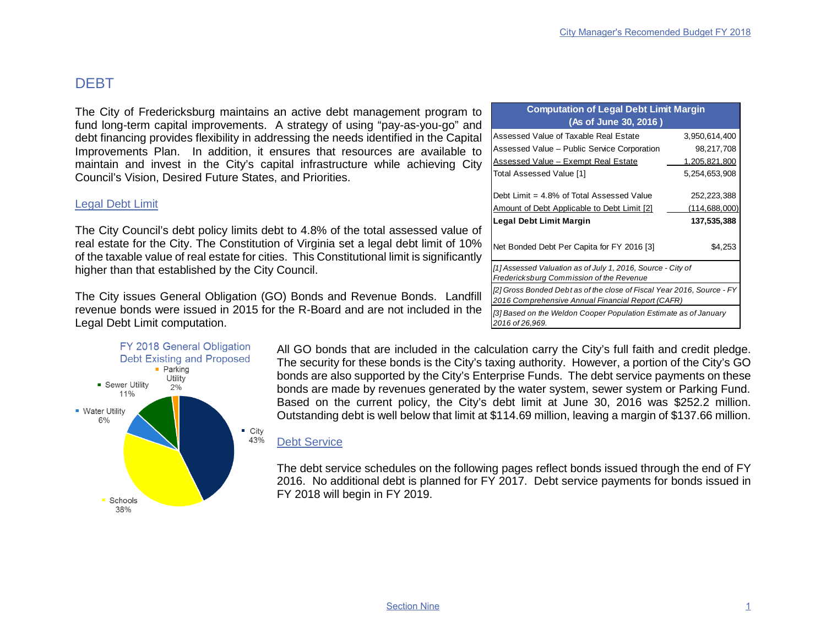## DEBT

The City of Fredericksburg maintains an active debt management program to fund long-term capital improvements. A strategy of using "pay-as-you-go" and debt financing provides flexibility in addressing the needs identified in the Capital Improvements Plan. In addition, it ensures that resources are available to maintain and invest in the City's capital infrastructure while achieving City Council's Vision, Desired Future States, and Priorities.

### Legal Debt Limit

The City Council's debt policy limits debt to 4.8% of the total assessed value of real estate for the City. The Constitution of Virginia set a legal debt limit of 10% of the taxable value of real estate for cities. This Constitutional limit is significantly higher than that established by the City Council.

The City issues General Obligation (GO) Bonds and Revenue Bonds. Landfill revenue bonds were issued in 2015 for the R-Board and are not included in the Legal Debt Limit computation.



| All GO bonds that are included in the calculation carry the City's full faith and credit pledge.     |
|------------------------------------------------------------------------------------------------------|
| The security for these bonds is the City's taxing authority. However, a portion of the City's GO     |
| bonds are also supported by the City's Enterprise Funds. The debt service payments on these          |
| bonds are made by revenues generated by the water system, sewer system or Parking Fund.              |
| Based on the current policy, the City's debt limit at June 30, 2016 was \$252.2 million.             |
| Outstanding debt is well below that limit at \$114.69 million, leaving a margin of \$137.66 million. |

### Debt Service

The debt service schedules on the following pages reflect bonds issued through the end of FY 2016. No additional debt is planned for FY 2017. Debt service payments for bonds issued in FY 2018 will begin in FY 2019.

| <b>Computation of Legal Debt Limit Margin</b>                                                                               |                        |  |  |  |  |  |  |  |  |
|-----------------------------------------------------------------------------------------------------------------------------|------------------------|--|--|--|--|--|--|--|--|
| (As of June 30, 2016)                                                                                                       |                        |  |  |  |  |  |  |  |  |
| Assessed Value of Taxable Real Estate                                                                                       | 3,950,614,400          |  |  |  |  |  |  |  |  |
| Assessed Value - Public Service Corporation                                                                                 | 98,217,708             |  |  |  |  |  |  |  |  |
| <b>Assessed Value - Exempt Real Estate</b>                                                                                  | 1,205,821,800          |  |  |  |  |  |  |  |  |
| Total Assessed Value [1]                                                                                                    | 5,254,653,908          |  |  |  |  |  |  |  |  |
| Debt Limit = 4.8% of Total Assessed Value                                                                                   | 252,223,388            |  |  |  |  |  |  |  |  |
| Amount of Debt Applicable to Debt Limit [2]                                                                                 | (114, 688, 000)        |  |  |  |  |  |  |  |  |
| Legal Debt Limit Margin<br>Net Bonded Debt Per Capita for FY 2016 [3]                                                       | 137,535,388<br>\$4,253 |  |  |  |  |  |  |  |  |
| [1] Assessed Valuation as of July 1, 2016, Source - City of<br>Fredericksburg Commission of the Revenue                     |                        |  |  |  |  |  |  |  |  |
| [2] Gross Bonded Debt as of the close of Fiscal Year 2016, Source - FY<br>2016 Comprehensive Annual Financial Report (CAFR) |                        |  |  |  |  |  |  |  |  |
| [3] Based on the Weldon Cooper Population Estimate as of January<br>2016 of 26,969.                                         |                        |  |  |  |  |  |  |  |  |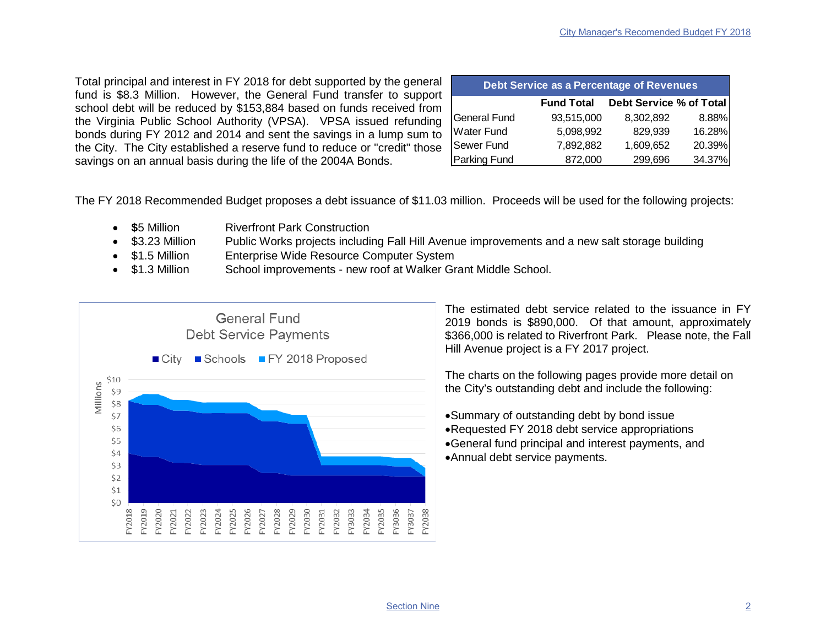Total principal and interest in FY 2018 for debt supported by the general fund is \$8.3 Million. However, the General Fund transfer to support school debt will be reduced by \$153,884 based on funds received from the Virginia Public School Authority (VPSA). VPSA issued refunding bonds during FY 2012 and 2014 and sent the savings in a lump sum to the City. The City established a reserve fund to reduce or "credit" those savings on an annual basis during the life of the 2004A Bonds.

| Debt Service as a Percentage of Revenues |                   |                         |        |  |  |  |  |  |  |  |  |  |
|------------------------------------------|-------------------|-------------------------|--------|--|--|--|--|--|--|--|--|--|
|                                          | <b>Fund Total</b> | Debt Service % of Total |        |  |  |  |  |  |  |  |  |  |
| General Fund                             | 93,515,000        | 8,302,892               | 8.88%  |  |  |  |  |  |  |  |  |  |
| Water Fund                               | 5,098,992         | 829,939                 | 16.28% |  |  |  |  |  |  |  |  |  |
| Sewer Fund                               | 7,892,882         | 1,609,652               | 20.39% |  |  |  |  |  |  |  |  |  |
| Parking Fund                             | 872,000           | 299,696                 | 34.37% |  |  |  |  |  |  |  |  |  |

The FY 2018 Recommended Budget proposes a debt issuance of \$11.03 million. Proceeds will be used for the following projects:

- **\$5 Million Riverfront Park Construction**
- \$3.23 Million Public Works projects including Fall Hill Avenue improvements and a new salt storage building
- \$1.5 Million Enterprise Wide Resource Computer System
- \$1.3 Million School improvements new roof at Walker Grant Middle School.



The estimated debt service related to the issuance in FY 2019 bonds is \$890,000. Of that amount, approximately \$366,000 is related to Riverfront Park. Please note, the Fall Hill Avenue project is a FY 2017 project.

The charts on the following pages provide more detail on the City's outstanding debt and include the following:

•Summary of outstanding debt by bond issue •Requested FY 2018 debt service appropriations •General fund principal and interest payments, and •Annual debt service payments.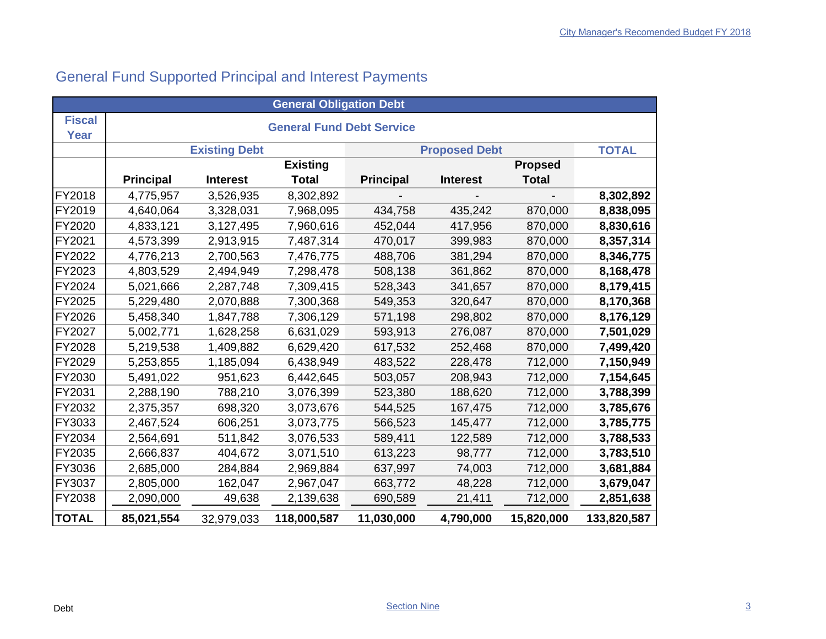# General Fund Supported Principal and Interest Payments

| <b>General Obligation Debt</b> |                                  |                      |                 |                  |                      |                |              |  |  |  |  |  |  |  |
|--------------------------------|----------------------------------|----------------------|-----------------|------------------|----------------------|----------------|--------------|--|--|--|--|--|--|--|
| <b>Fiscal</b><br>Year          | <b>General Fund Debt Service</b> |                      |                 |                  |                      |                |              |  |  |  |  |  |  |  |
|                                |                                  | <b>Existing Debt</b> |                 |                  | <b>Proposed Debt</b> |                | <b>TOTAL</b> |  |  |  |  |  |  |  |
|                                |                                  |                      | <b>Existing</b> |                  |                      | <b>Propsed</b> |              |  |  |  |  |  |  |  |
|                                | <b>Principal</b>                 | <b>Interest</b>      | <b>Total</b>    | <b>Principal</b> | <b>Interest</b>      | <b>Total</b>   |              |  |  |  |  |  |  |  |
| <b>FY2018</b>                  | 4,775,957                        | 3,526,935            | 8,302,892       |                  |                      |                | 8,302,892    |  |  |  |  |  |  |  |
| FY2019                         | 4,640,064                        | 3,328,031            | 7,968,095       | 434,758          | 435,242              | 870,000        | 8,838,095    |  |  |  |  |  |  |  |
| <b>FY2020</b>                  | 4,833,121                        | 3,127,495            | 7,960,616       | 452,044          | 417,956              | 870,000        | 8,830,616    |  |  |  |  |  |  |  |
| FY2021                         | 4,573,399                        | 2,913,915            | 7,487,314       | 470,017          | 399,983              | 870,000        | 8,357,314    |  |  |  |  |  |  |  |
| <b>FY2022</b>                  | 4,776,213                        | 2,700,563            | 7,476,775       | 488,706          | 381,294              | 870,000        | 8,346,775    |  |  |  |  |  |  |  |
| <b>FY2023</b>                  | 4,803,529                        | 2,494,949            | 7,298,478       | 508,138          | 361,862              | 870,000        | 8,168,478    |  |  |  |  |  |  |  |
| <b>FY2024</b>                  | 5,021,666                        | 2,287,748            | 7,309,415       | 528,343          | 341,657              | 870,000        | 8,179,415    |  |  |  |  |  |  |  |
| FY2025                         | 5,229,480                        | 2,070,888            | 7,300,368       | 549,353          | 320,647              | 870,000        | 8,170,368    |  |  |  |  |  |  |  |
| <b>FY2026</b>                  | 5,458,340                        | 1,847,788            | 7,306,129       | 571,198          | 298,802              | 870,000        | 8,176,129    |  |  |  |  |  |  |  |
| <b>FY2027</b>                  | 5,002,771                        | 1,628,258            | 6,631,029       | 593,913          | 276,087              | 870,000        | 7,501,029    |  |  |  |  |  |  |  |
| <b>FY2028</b>                  | 5,219,538                        | 1,409,882            | 6,629,420       | 617,532          | 252,468              | 870,000        | 7,499,420    |  |  |  |  |  |  |  |
| FY2029                         | 5,253,855                        | 1,185,094            | 6,438,949       | 483,522          | 228,478              | 712,000        | 7,150,949    |  |  |  |  |  |  |  |
| <b>FY2030</b>                  | 5,491,022                        | 951,623              | 6,442,645       | 503,057          | 208,943              | 712,000        | 7,154,645    |  |  |  |  |  |  |  |
| FY2031                         | 2,288,190                        | 788,210              | 3,076,399       | 523,380          | 188,620              | 712,000        | 3,788,399    |  |  |  |  |  |  |  |
| <b>FY2032</b>                  | 2,375,357                        | 698,320              | 3,073,676       | 544,525          | 167,475              | 712,000        | 3,785,676    |  |  |  |  |  |  |  |
| <b>FY3033</b>                  | 2,467,524                        | 606,251              | 3,073,775       | 566,523          | 145,477              | 712,000        | 3,785,775    |  |  |  |  |  |  |  |
| <b>FY2034</b>                  | 2,564,691                        | 511,842              | 3,076,533       | 589,411          | 122,589              | 712,000        | 3,788,533    |  |  |  |  |  |  |  |
| <b>FY2035</b>                  | 2,666,837                        | 404,672              | 3,071,510       | 613,223          | 98,777               | 712,000        | 3,783,510    |  |  |  |  |  |  |  |
| <b>FY3036</b>                  | 2,685,000                        | 284,884              | 2,969,884       | 637,997          | 74,003               | 712,000        | 3,681,884    |  |  |  |  |  |  |  |
| <b>FY3037</b>                  | 2,805,000                        | 162,047              | 2,967,047       | 663,772          | 48,228               | 712,000        | 3,679,047    |  |  |  |  |  |  |  |
| <b>FY2038</b>                  | 2,090,000                        | 49,638               | 2,139,638       | 690,589          | 21,411               | 712,000        | 2,851,638    |  |  |  |  |  |  |  |
| <b>TOTAL</b>                   | 85,021,554                       | 32,979,033           | 118,000,587     | 11,030,000       | 4,790,000            | 15,820,000     | 133,820,587  |  |  |  |  |  |  |  |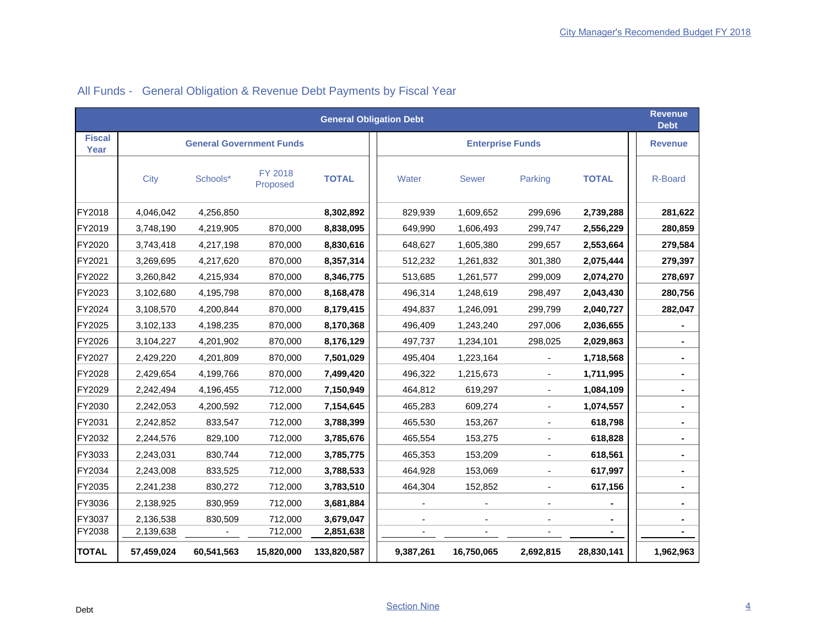| <b>General Obligation Debt</b> |            |                                 |                     |              |                |              |                          |              |                |  |  |  |  |
|--------------------------------|------------|---------------------------------|---------------------|--------------|----------------|--------------|--------------------------|--------------|----------------|--|--|--|--|
| <b>Fiscal</b><br>Year          |            | <b>General Government Funds</b> |                     |              | <b>Revenue</b> |              |                          |              |                |  |  |  |  |
|                                | City       | Schools*                        | FY 2018<br>Proposed | <b>TOTAL</b> | Water          | <b>Sewer</b> | Parking                  | <b>TOTAL</b> | R-Board        |  |  |  |  |
| FY2018                         | 4,046,042  | 4,256,850                       |                     | 8,302,892    | 829,939        | 1,609,652    | 299,696                  | 2,739,288    | 281,622        |  |  |  |  |
| FY2019                         | 3,748,190  | 4,219,905                       | 870,000             | 8,838,095    | 649,990        | 1,606,493    | 299,747                  | 2,556,229    | 280,859        |  |  |  |  |
| FY2020                         | 3,743,418  | 4,217,198                       | 870,000             | 8,830,616    | 648,627        | 1,605,380    | 299,657                  | 2,553,664    | 279,584        |  |  |  |  |
| FY2021                         | 3,269,695  | 4,217,620                       | 870,000             | 8,357,314    | 512,232        | 1,261,832    | 301,380                  | 2,075,444    | 279,397        |  |  |  |  |
| FY2022                         | 3,260,842  | 4,215,934                       | 870,000             | 8,346,775    | 513,685        | 1,261,577    | 299,009                  | 2,074,270    | 278,697        |  |  |  |  |
| FY2023                         | 3,102,680  | 4,195,798                       | 870,000             | 8,168,478    | 496,314        | 1,248,619    | 298,497                  | 2,043,430    | 280,756        |  |  |  |  |
| FY2024                         | 3,108,570  | 4,200,844                       | 870,000             | 8,179,415    | 494,837        | 1,246,091    | 299,799                  | 2,040,727    | 282,047        |  |  |  |  |
| FY2025                         | 3,102,133  | 4,198,235                       | 870,000             | 8,170,368    | 496,409        | 1,243,240    | 297,006                  | 2,036,655    |                |  |  |  |  |
| FY2026                         | 3,104,227  | 4,201,902                       | 870,000             | 8,176,129    | 497,737        | 1,234,101    | 298,025                  | 2,029,863    | $\blacksquare$ |  |  |  |  |
| FY2027                         | 2,429,220  | 4,201,809                       | 870,000             | 7,501,029    | 495,404        | 1,223,164    |                          | 1,718,568    |                |  |  |  |  |
| FY2028                         | 2,429,654  | 4,199,766                       | 870,000             | 7,499,420    | 496,322        | 1,215,673    |                          | 1,711,995    |                |  |  |  |  |
| FY2029                         | 2,242,494  | 4,196,455                       | 712,000             | 7,150,949    | 464,812        | 619,297      | $\overline{\phantom{a}}$ | 1,084,109    | $\blacksquare$ |  |  |  |  |
| FY2030                         | 2,242,053  | 4,200,592                       | 712,000             | 7,154,645    | 465,283        | 609,274      |                          | 1,074,557    |                |  |  |  |  |
| FY2031                         | 2,242,852  | 833,547                         | 712,000             | 3,788,399    | 465,530        | 153,267      |                          | 618,798      |                |  |  |  |  |
| FY2032                         | 2,244,576  | 829,100                         | 712,000             | 3,785,676    | 465,554        | 153,275      | $\overline{\phantom{a}}$ | 618,828      | $\blacksquare$ |  |  |  |  |
| FY3033                         | 2,243,031  | 830,744                         | 712,000             | 3,785,775    | 465,353        | 153,209      |                          | 618,561      | $\blacksquare$ |  |  |  |  |
| FY2034                         | 2,243,008  | 833,525                         | 712,000             | 3,788,533    | 464,928        | 153,069      |                          | 617,997      |                |  |  |  |  |
| FY2035                         | 2,241,238  | 830,272                         | 712,000             | 3,783,510    | 464,304        | 152,852      |                          | 617,156      |                |  |  |  |  |
| FY3036                         | 2,138,925  | 830,959                         | 712,000             | 3,681,884    |                |              |                          |              | ٠              |  |  |  |  |
| FY3037                         | 2,136,538  | 830,509                         | 712,000             | 3,679,047    |                |              |                          |              |                |  |  |  |  |
| FY2038                         | 2,139,638  |                                 | 712,000             | 2,851,638    |                |              |                          |              |                |  |  |  |  |
| <b>TOTAL</b>                   | 57,459,024 | 60,541,563                      | 15,820,000          | 133,820,587  | 9,387,261      | 16,750,065   | 2,692,815                | 28,830,141   | 1,962,963      |  |  |  |  |

### All Funds - General Obligation & Revenue Debt Payments by Fiscal Year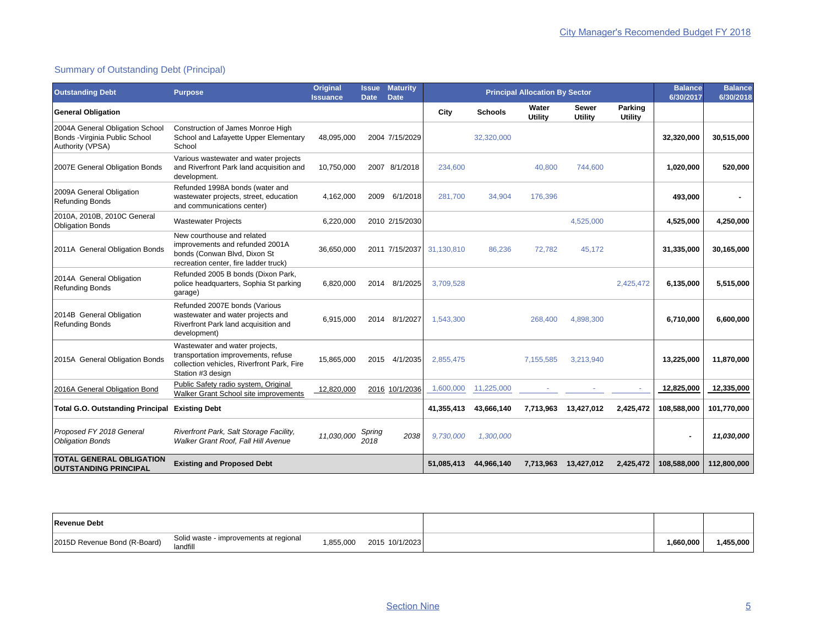### Summary of Outstanding Debt (Principal)

| <b>Outstanding Debt</b>                                                               | <b>Purpose</b>                                                                                                                           | Original<br><b>Issuance</b> | Issue<br><b>Date</b> | <b>Maturity</b><br><b>Date</b> |            | <b>Principal Allocation By Sector</b> | <b>Balance</b><br>6/30/2017 | <b>Balance</b><br>6/30/2018 |                           |             |             |
|---------------------------------------------------------------------------------------|------------------------------------------------------------------------------------------------------------------------------------------|-----------------------------|----------------------|--------------------------------|------------|---------------------------------------|-----------------------------|-----------------------------|---------------------------|-------------|-------------|
| <b>General Obligation</b>                                                             |                                                                                                                                          |                             |                      |                                | City       | <b>Schools</b>                        | Water<br><b>Utility</b>     | <b>Sewer</b><br>Utility     | Parking<br><b>Utility</b> |             |             |
| 2004A General Obligation School<br>Bonds - Virginia Public School<br>Authority (VPSA) | Construction of James Monroe High<br>School and Lafayette Upper Elementary<br>School                                                     | 48,095,000                  |                      | 2004 7/15/2029                 |            | 32,320,000                            |                             |                             |                           | 32,320,000  | 30,515,000  |
| 2007E General Obligation Bonds                                                        | Various wastewater and water projects<br>and Riverfront Park land acquisition and<br>development.                                        | 10,750,000                  |                      | 2007 8/1/2018                  | 234,600    |                                       | 40,800                      | 744,600                     |                           | 1,020,000   | 520,000     |
| 2009A General Obligation<br><b>Refunding Bonds</b>                                    | Refunded 1998A bonds (water and<br>wastewater projects, street, education<br>and communications center)                                  | 4,162,000                   | 2009                 | 6/1/2018                       | 281,700    | 34,904                                | 176,396                     |                             |                           | 493,000     |             |
| 2010A, 2010B, 2010C General<br><b>Obligation Bonds</b>                                | <b>Wastewater Projects</b>                                                                                                               | 6,220,000                   |                      | 2010 2/15/2030                 |            |                                       |                             | 4,525,000                   |                           | 4,525,000   | 4,250,000   |
| 2011A General Obligation Bonds                                                        | New courthouse and related<br>improvements and refunded 2001A<br>bonds (Conwan Blvd, Dixon St<br>recreation center, fire ladder truck)   | 36,650,000                  |                      | 2011 7/15/2037                 | 31,130,810 | 86,236                                | 72,782                      | 45.172                      |                           | 31,335,000  | 30,165,000  |
| 2014A General Obligation<br><b>Refunding Bonds</b>                                    | Refunded 2005 B bonds (Dixon Park,<br>police headquarters, Sophia St parking<br>garage)                                                  | 6,820,000                   | 2014                 | 8/1/2025                       | 3.709.528  |                                       |                             |                             | 2,425,472                 | 6,135,000   | 5,515,000   |
| 2014B General Obligation<br><b>Refunding Bonds</b>                                    | Refunded 2007E bonds (Various<br>wastewater and water projects and<br>Riverfront Park land acquisition and<br>development)               | 6,915,000                   | 2014                 | 8/1/2027                       | 1.543.300  |                                       | 268.400                     | 4,898,300                   |                           | 6,710,000   | 6,600,000   |
| 2015A General Obligation Bonds                                                        | Wastewater and water projects,<br>transportation improvements, refuse<br>collection vehicles, Riverfront Park, Fire<br>Station #3 design | 15,865,000                  | 2015                 | 4/1/2035                       | 2,855,475  |                                       | 7,155,585                   | 3,213,940                   |                           | 13,225,000  | 11,870,000  |
| 2016A General Obligation Bond                                                         | Public Safety radio system, Original<br>Walker Grant School site improvements                                                            | 12,820,000                  |                      | 2016 10/1/2036                 | 1,600,000  | 11,225,000                            |                             |                             |                           | 12,825,000  | 12,335,000  |
| <b>Total G.O. Outstanding Principal</b>                                               | <b>Existing Debt</b>                                                                                                                     |                             |                      |                                | 41,355,413 | 43,666,140                            | 7.713.963                   | 13,427,012                  | 2,425,472                 | 108,588,000 | 101,770,000 |
| Proposed FY 2018 General<br><b>Obligation Bonds</b>                                   | Riverfront Park, Salt Storage Facility,<br>Walker Grant Roof, Fall Hill Avenue                                                           | 11,030,000                  | Spring<br>2018       | 2038                           | 9,730,000  | 1,300,000                             |                             |                             |                           |             | 11,030,000  |
| <b>TOTAL GENERAL OBLIGATION</b><br><b>OUTSTANDING PRINCIPAL</b>                       | <b>Existing and Proposed Debt</b>                                                                                                        |                             |                      |                                | 51,085,413 | 44,966,140                            | 7,713,963                   | 13,427,012                  | 2,425,472                 | 108,588,000 | 112,800,000 |

| <b>Revenue Debt</b>          |                                                    |           |                |           |           |
|------------------------------|----------------------------------------------------|-----------|----------------|-----------|-----------|
| 2015D Revenue Bond (R-Board) | Solid waste - improvements at regional<br>landfill | 1,855,000 | 2015 10/1/2023 | 000,060,1 | 1,455,000 |